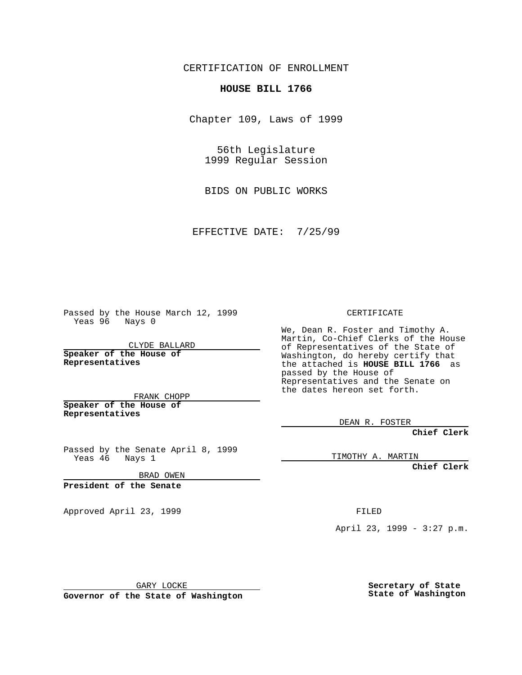CERTIFICATION OF ENROLLMENT

## **HOUSE BILL 1766**

Chapter 109, Laws of 1999

56th Legislature 1999 Regular Session

BIDS ON PUBLIC WORKS

EFFECTIVE DATE: 7/25/99

Passed by the House March 12, 1999 Yeas 96 Nays 0

CLYDE BALLARD **Speaker of the House of Representatives**

FRANK CHOPP **Speaker of the House of**

**Representatives**

Passed by the Senate April 8, 1999<br>Yeas 46 Nays 1 Nays 1

BRAD OWEN

**President of the Senate**

Approved April 23, 1999 FILED

## CERTIFICATE

We, Dean R. Foster and Timothy A. Martin, Co-Chief Clerks of the House of Representatives of the State of Washington, do hereby certify that the attached is **HOUSE BILL 1766** as passed by the House of Representatives and the Senate on the dates hereon set forth.

DEAN R. FOSTER

**Chief Clerk**

TIMOTHY A. MARTIN

**Chief Clerk**

April 23, 1999 - 3:27 p.m.

GARY LOCKE

**Governor of the State of Washington**

**Secretary of State State of Washington**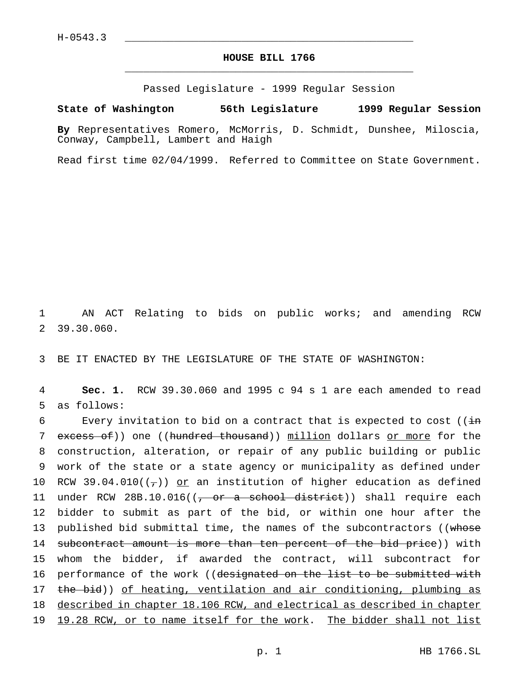Passed Legislature - 1999 Regular Session

## **State of Washington 56th Legislature 1999 Regular Session**

**By** Representatives Romero, McMorris, D. Schmidt, Dunshee, Miloscia, Conway, Campbell, Lambert and Haigh

Read first time 02/04/1999. Referred to Committee on State Government.

1 AN ACT Relating to bids on public works; and amending RCW 2 39.30.060.

3 BE IT ENACTED BY THE LEGISLATURE OF THE STATE OF WASHINGTON:

4 **Sec. 1.** RCW 39.30.060 and 1995 c 94 s 1 are each amended to read 5 as follows:

6 Every invitation to bid on a contract that is expected to cost ( $(i\text{in})$ 7 excess of)) one ((hundred thousand)) million dollars or more for the 8 construction, alteration, or repair of any public building or public 9 work of the state or a state agency or municipality as defined under 10 RCW 39.04.010( $(\tau)$ ) or an institution of higher education as defined 11 under RCW 28B.10.016((<del>, or a school district</del>)) shall require each 12 bidder to submit as part of the bid, or within one hour after the 13 published bid submittal time, the names of the subcontractors ((whose 14 subcontract amount is more than ten percent of the bid price)) with 15 whom the bidder, if awarded the contract, will subcontract for 16 performance of the work ((designated on the list to be submitted with 17 the bid)) of heating, ventilation and air conditioning, plumbing as 18 described in chapter 18.106 RCW, and electrical as described in chapter 19 19.28 RCW, or to name itself for the work. The bidder shall not list